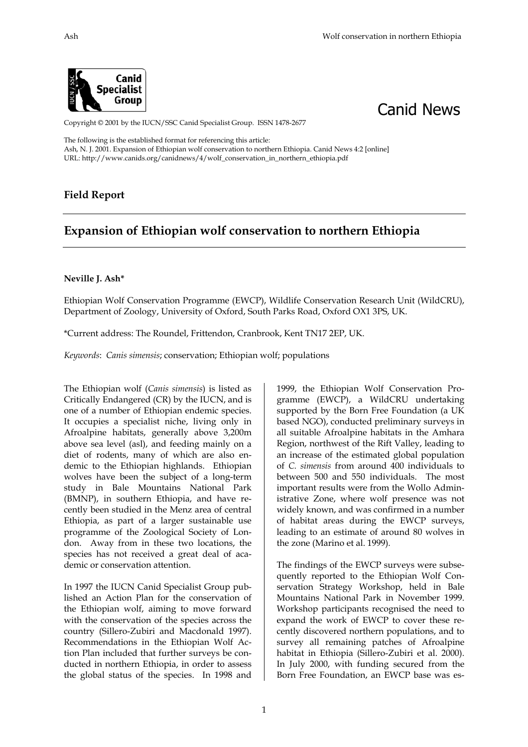



Copyright © 2001 by the IUCN/SSC Canid Specialist Group. ISSN 1478-2677

The following is the established format for referencing this article: Ash, N. J. 2001. Expansion of Ethiopian wolf conservation to northern Ethiopia. Canid News 4:2 [online] URL: http://www.canids.org/canidnews/4/wolf\_conservation\_in\_northern\_ethiopia.pdf

## **Field Report**

## **Expansion of Ethiopian wolf conservation to northern Ethiopia**

## **Neville J. Ash\***

Ethiopian Wolf Conservation Programme (EWCP), Wildlife Conservation Research Unit (WildCRU), Department of Zoology, University of Oxford, South Parks Road, Oxford OX1 3PS, UK.

\*Current address: The Roundel, Frittendon, Cranbrook, Kent TN17 2EP, UK.

*Keywords*: *Canis simensis*; conservation; Ethiopian wolf; populations

The Ethiopian wolf (*Canis simensis*) is listed as Critically Endangered (CR) by the IUCN, and is one of a number of Ethiopian endemic species. It occupies a specialist niche, living only in Afroalpine habitats, generally above 3,200m above sea level (asl), and feeding mainly on a diet of rodents, many of which are also endemic to the Ethiopian highlands. Ethiopian wolves have been the subject of a long-term study in Bale Mountains National Park (BMNP), in southern Ethiopia, and have recently been studied in the Menz area of central Ethiopia, as part of a larger sustainable use programme of the Zoological Society of London. Away from in these two locations, the species has not received a great deal of academic or conservation attention.

In 1997 the IUCN Canid Specialist Group published an Action Plan for the conservation of the Ethiopian wolf, aiming to move forward with the conservation of the species across the country (Sillero-Zubiri and Macdonald 1997). Recommendations in the Ethiopian Wolf Action Plan included that further surveys be conducted in northern Ethiopia, in order to assess the global status of the species. In 1998 and 1999, the Ethiopian Wolf Conservation Programme (EWCP), a WildCRU undertaking supported by the Born Free Foundation (a UK based NGO), conducted preliminary surveys in all suitable Afroalpine habitats in the Amhara Region, northwest of the Rift Valley, leading to an increase of the estimated global population of *C. simensis* from around 400 individuals to between 500 and 550 individuals. The most important results were from the Wollo Administrative Zone, where wolf presence was not widely known, and was confirmed in a number of habitat areas during the EWCP surveys, leading to an estimate of around 80 wolves in the zone (Marino et al. 1999).

The findings of the EWCP surveys were subsequently reported to the Ethiopian Wolf Conservation Strategy Workshop, held in Bale Mountains National Park in November 1999. Workshop participants recognised the need to expand the work of EWCP to cover these recently discovered northern populations, and to survey all remaining patches of Afroalpine habitat in Ethiopia (Sillero-Zubiri et al. 2000). In July 2000, with funding secured from the Born Free Foundation, an EWCP base was es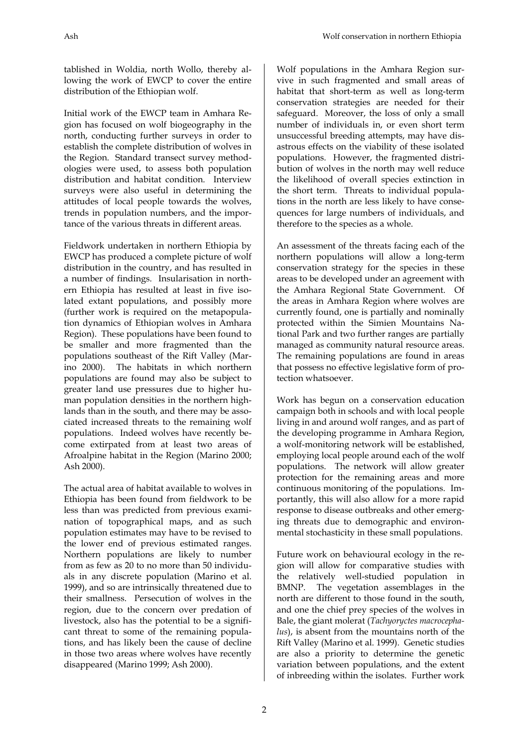Ash Wolf conservation in northern Ethiopia

tablished in Woldia, north Wollo, thereby allowing the work of EWCP to cover the entire distribution of the Ethiopian wolf.

Initial work of the EWCP team in Amhara Region has focused on wolf biogeography in the north, conducting further surveys in order to establish the complete distribution of wolves in the Region. Standard transect survey methodologies were used, to assess both population distribution and habitat condition. Interview surveys were also useful in determining the attitudes of local people towards the wolves, trends in population numbers, and the importance of the various threats in different areas.

Fieldwork undertaken in northern Ethiopia by EWCP has produced a complete picture of wolf distribution in the country, and has resulted in a number of findings. Insularisation in northern Ethiopia has resulted at least in five isolated extant populations, and possibly more (further work is required on the metapopulation dynamics of Ethiopian wolves in Amhara Region). These populations have been found to be smaller and more fragmented than the populations southeast of the Rift Valley (Marino 2000). The habitats in which northern populations are found may also be subject to greater land use pressures due to higher human population densities in the northern highlands than in the south, and there may be associated increased threats to the remaining wolf populations. Indeed wolves have recently become extirpated from at least two areas of Afroalpine habitat in the Region (Marino 2000; Ash 2000).

The actual area of habitat available to wolves in Ethiopia has been found from fieldwork to be less than was predicted from previous examination of topographical maps, and as such population estimates may have to be revised to the lower end of previous estimated ranges. Northern populations are likely to number from as few as 20 to no more than 50 individuals in any discrete population (Marino et al. 1999), and so are intrinsically threatened due to their smallness. Persecution of wolves in the region, due to the concern over predation of livestock, also has the potential to be a significant threat to some of the remaining populations, and has likely been the cause of decline in those two areas where wolves have recently disappeared (Marino 1999; Ash 2000).

Wolf populations in the Amhara Region survive in such fragmented and small areas of habitat that short-term as well as long-term conservation strategies are needed for their safeguard. Moreover, the loss of only a small number of individuals in, or even short term unsuccessful breeding attempts, may have disastrous effects on the viability of these isolated populations. However, the fragmented distribution of wolves in the north may well reduce the likelihood of overall species extinction in the short term. Threats to individual populations in the north are less likely to have consequences for large numbers of individuals, and therefore to the species as a whole.

An assessment of the threats facing each of the northern populations will allow a long-term conservation strategy for the species in these areas to be developed under an agreement with the Amhara Regional State Government. Of the areas in Amhara Region where wolves are currently found, one is partially and nominally protected within the Simien Mountains National Park and two further ranges are partially managed as community natural resource areas. The remaining populations are found in areas that possess no effective legislative form of protection whatsoever.

Work has begun on a conservation education campaign both in schools and with local people living in and around wolf ranges, and as part of the developing programme in Amhara Region, a wolf-monitoring network will be established, employing local people around each of the wolf populations. The network will allow greater protection for the remaining areas and more continuous monitoring of the populations. Importantly, this will also allow for a more rapid response to disease outbreaks and other emerging threats due to demographic and environmental stochasticity in these small populations.

Future work on behavioural ecology in the region will allow for comparative studies with the relatively well-studied population in BMNP. The vegetation assemblages in the north are different to those found in the south, and one the chief prey species of the wolves in Bale, the giant molerat (*Tachyoryctes macrocephalus*), is absent from the mountains north of the Rift Valley (Marino et al. 1999). Genetic studies are also a priority to determine the genetic variation between populations, and the extent of inbreeding within the isolates. Further work